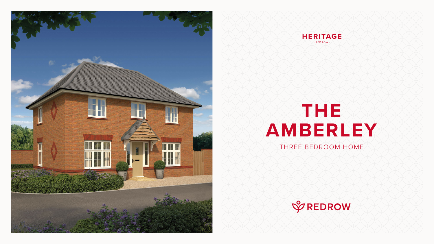# **THE AMBERLEY** THREE BEDROOM HOME







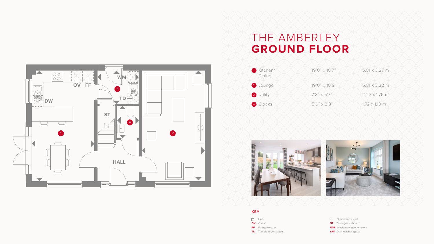

### THE AMBERLEY **GROUND FLOOR**

- Dimensions start
- **ST** Storage cupboard
- **WM** Washing machine space
- **DW** Dish washer space







#### **KEY**

- **SSS** Hob
- **OV** Oven
- **FF** Fridge/freezer
- **TD** Tumble dryer space